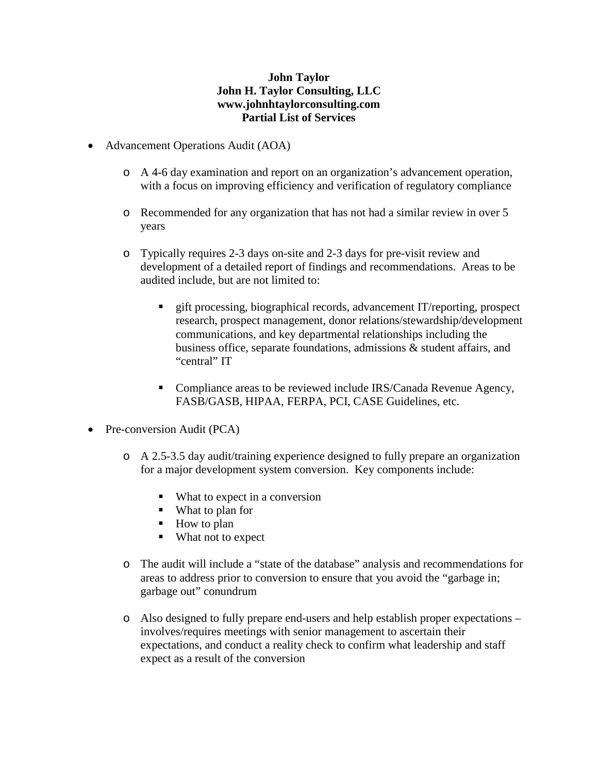## **John Taylor John H. Taylor Consulting, LLC www.johnhtaylorconsulting.com Partial List of Services**

- Advancement Operations Audit (AOA)
	- o A 4-6 day examination and report on an organization's advancement operation, with a focus on improving efficiency and verification of regulatory compliance
	- o Recommended for any organization that has not had a similar review in over 5 years
	- o Typically requires 2-3 days on-site and 2-3 days for pre-visit review and development of a detailed report of findings and recommendations. Areas to be audited include, but are not limited to:
		- gift processing, biographical records, advancement IT/reporting, prospect research, prospect management, donor relations/stewardship/development communications, and key departmental relationships including the business office, separate foundations, admissions & student affairs, and "central" IT
		- Compliance areas to be reviewed include IRS/Canada Revenue Agency, FASB/GASB, HIPAA, FERPA, PCI, CASE Guidelines, etc.
- Pre-conversion Audit (PCA)
	- o A 2.5-3.5 day audit/training experience designed to fully prepare an organization for a major development system conversion. Key components include:
		- What to expect in a conversion
		- What to plan for
		- How to plan
		- What not to expect
	- o The audit will include a "state of the database" analysis and recommendations for areas to address prior to conversion to ensure that you avoid the "garbage in; garbage out" conundrum
	- o Also designed to fully prepare end-users and help establish proper expectations involves/requires meetings with senior management to ascertain their expectations, and conduct a reality check to confirm what leadership and staff expect as a result of the conversion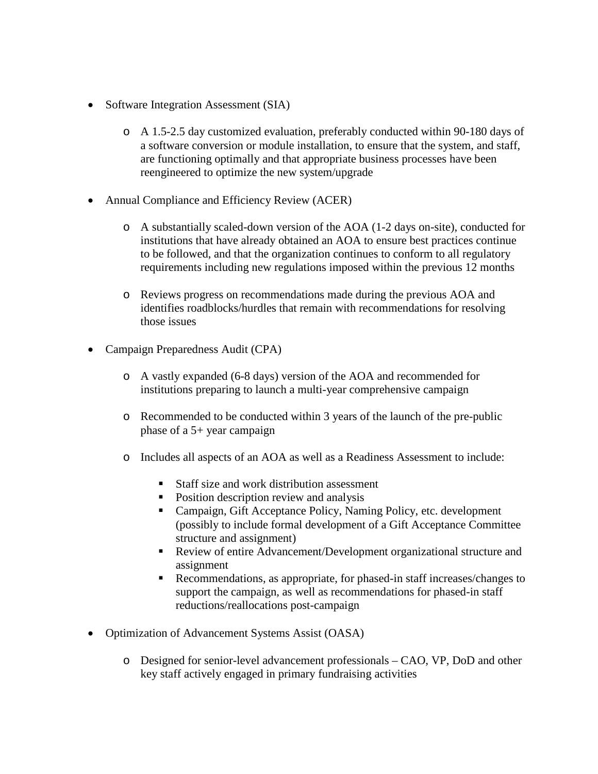- Software Integration Assessment (SIA)
	- o A 1.5-2.5 day customized evaluation, preferably conducted within 90-180 days of a software conversion or module installation, to ensure that the system, and staff, are functioning optimally and that appropriate business processes have been reengineered to optimize the new system/upgrade
- Annual Compliance and Efficiency Review (ACER)
	- o A substantially scaled-down version of the AOA (1-2 days on-site), conducted for institutions that have already obtained an AOA to ensure best practices continue to be followed, and that the organization continues to conform to all regulatory requirements including new regulations imposed within the previous 12 months
	- o Reviews progress on recommendations made during the previous AOA and identifies roadblocks/hurdles that remain with recommendations for resolving those issues
- Campaign Preparedness Audit (CPA)
	- o A vastly expanded (6-8 days) version of the AOA and recommended for institutions preparing to launch a multi-year comprehensive campaign
	- o Recommended to be conducted within 3 years of the launch of the pre-public phase of a 5+ year campaign
	- o Includes all aspects of an AOA as well as a Readiness Assessment to include:
		- Staff size and work distribution assessment
		- Position description review and analysis
		- Campaign, Gift Acceptance Policy, Naming Policy, etc. development (possibly to include formal development of a Gift Acceptance Committee structure and assignment)
		- Review of entire Advancement/Development organizational structure and assignment
		- Recommendations, as appropriate, for phased-in staff increases/changes to support the campaign, as well as recommendations for phased-in staff reductions/reallocations post-campaign
- Optimization of Advancement Systems Assist (OASA)
	- o Designed for senior-level advancement professionals CAO, VP, DoD and other key staff actively engaged in primary fundraising activities